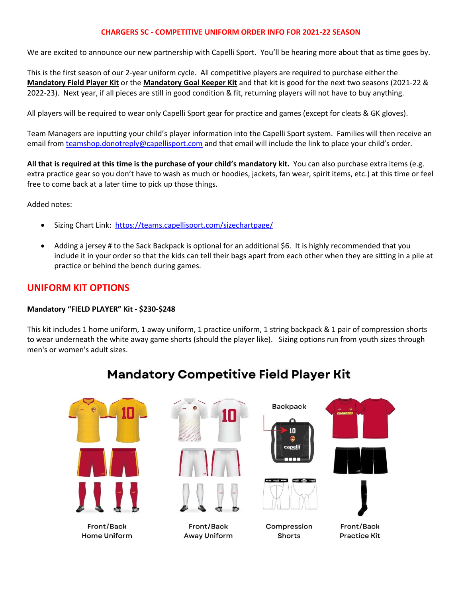#### **CHARGERS SC - COMPETITIVE UNIFORM ORDER INFO FOR 2021-22 SEASON**

We are excited to announce our new partnership with Capelli Sport. You'll be hearing more about that as time goes by.

This is the first season of our 2-year uniform cycle. All competitive players are required to purchase either the **Mandatory Field Player Kit** or the **Mandatory Goal Keeper Kit** and that kit is good for the next two seasons (2021-22 & 2022-23). Next year, if all pieces are still in good condition & fit, returning players will not have to buy anything.

All players will be required to wear only Capelli Sport gear for practice and games (except for cleats & GK gloves).

Team Managers are inputting your child's player information into the Capelli Sport system. Families will then receive an email from [teamshop.donotreply@capellisport.com](mailto:teamshop.donotreply@capellisport.com) and that email will include the link to place your child's order.

**All that is required at this time is the purchase of your child's mandatory kit.** You can also purchase extra items (e.g. extra practice gear so you don't have to wash as much or hoodies, jackets, fan wear, spirit items, etc.) at this time or feel free to come back at a later time to pick up those things.

Added notes:

- Sizing Chart Link:<https://teams.capellisport.com/sizechartpage/>
- Adding a jersey # to the Sack Backpack is optional for an additional \$6. It is highly recommended that you include it in your order so that the kids can tell their bags apart from each other when they are sitting in a pile at practice or behind the bench during games.

### **UNIFORM KIT OPTIONS**

#### **Mandatory "FIELD PLAYER" Kit - \$230-\$248**

This kit includes 1 home uniform, 1 away uniform, 1 practice uniform, 1 string backpack & 1 pair of compression shorts to wear underneath the white away game shorts (should the player like). Sizing options run from youth sizes through men's or women's adult sizes.

## **Mandatory Competitive Field Player Kit**